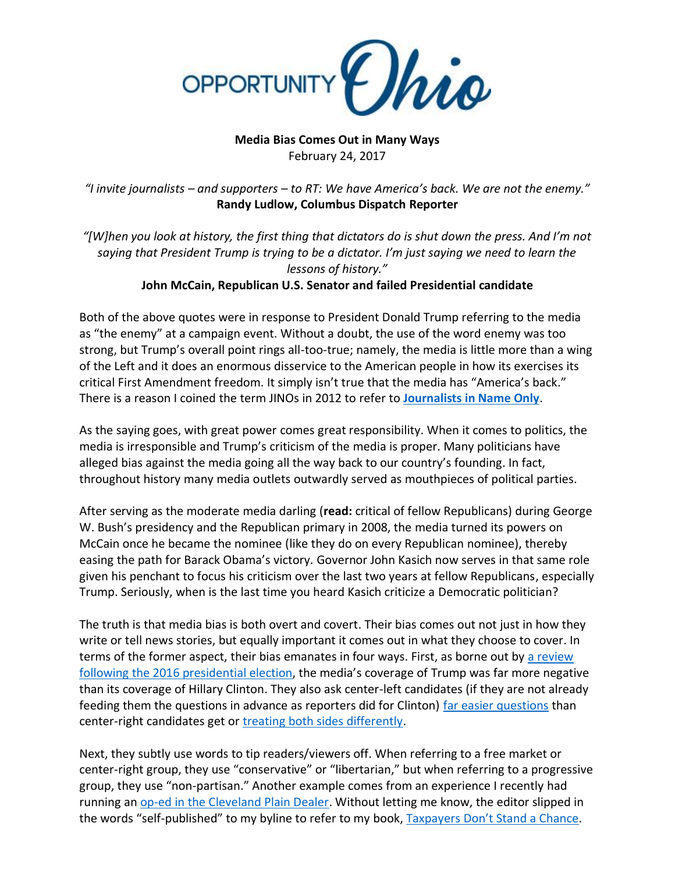

## **Media Bias Comes Out in Many Ways** February 24, 2017

*"I invite journalists – and supporters – to RT: We have America's back. We are not the enemy."* **Randy Ludlow, Columbus Dispatch Reporter**

*"[W]hen you look at history, the first thing that dictators do is shut down the press. And I'm not saying that President Trump is trying to be a dictator. I'm just saying we need to learn the lessons of history."* **John McCain, Republican U.S. Senator and failed Presidential candidate**

Both of the above quotes were in response to President Donald Trump referring to the media as "the enemy" at a campaign event. Without a doubt, the use of the word enemy was too strong, but Trump's overall point rings all-too-true; namely, the media is little more than a wing of the Left and it does an enormous disservice to the American people in how its exercises its critical First Amendment freedom. It simply isn't true that the media has "America's back." There is a reason I coined the term JINOs in 2012 to refer to **[Journalists in Name Only](http://www.opportunityohio.org/jinos/)**.

As the saying goes, with great power comes great responsibility. When it comes to politics, the media is irresponsible and Trump's criticism of the media is proper. Many politicians have alleged bias against the media going all the way back to our country's founding. In fact, throughout history many media outlets outwardly served as mouthpieces of political parties.

After serving as the moderate media darling (**read:** critical of fellow Republicans) during George W. Bush's presidency and the Republican primary in 2008, the media turned its powers on McCain once he became the nominee (like they do on every Republican nominee), thereby easing the path for Barack Obama's victory. Governor John Kasich now serves in that same role given his penchant to focus his criticism over the last two years at fellow Republicans, especially Trump. Seriously, when is the last time you heard Kasich criticize a Democratic politician?

The truth is that media bias is both overt and covert. Their bias comes out not just in how they write or tell news stories, but equally important it comes out in what they choose to cover. In terms of the former aspect, their bias emanates in four ways. First, as borne out by [a review](http://www.politico.com/blogs/on-media/2016/10/study-91-percent-of-trump-coverage-on-broadcast-news-was-negative-230297) [following the 2016 presidential election](http://www.politico.com/blogs/on-media/2016/10/study-91-percent-of-trump-coverage-on-broadcast-news-was-negative-230297), the media's coverage of Trump was far more negative than its coverage of Hillary Clinton. They also ask center-left candidates (if they are not already feeding them the questions in advance as reporters did for Clinton) [far easier questions](http://thefederalist.com/2016/09/27/trump-clinton-debate-was-an-embarrassment-for-everyone/) than center-right candidates get or [treating both sides differently.](http://www.the-american-interest.com/2017/02/21/a-tale-of-two-corruption-scandals/)

Next, they subtly use words to tip readers/viewers off. When referring to a free market or center-right group, they use "conservative" or "libertarian," but when referring to a progressive group, they use "non-partisan." Another example comes from an experience I recently had running an [op-ed in the Cleveland Plain Dealer.](http://www.cleveland.com/opinion/index.ssf/2017/02/ohio_legislatures_new_tax-stud.html) Without letting me know, the editor slipped in the words "self-published" to my byline to refer to my book, [Taxpayers Don't Stand a Chance](https://www.amazon.com/Taxpayers-Dont-Stand-Chance-Battleground/dp/1469985098/ref=asap_bc?ie=UTF8).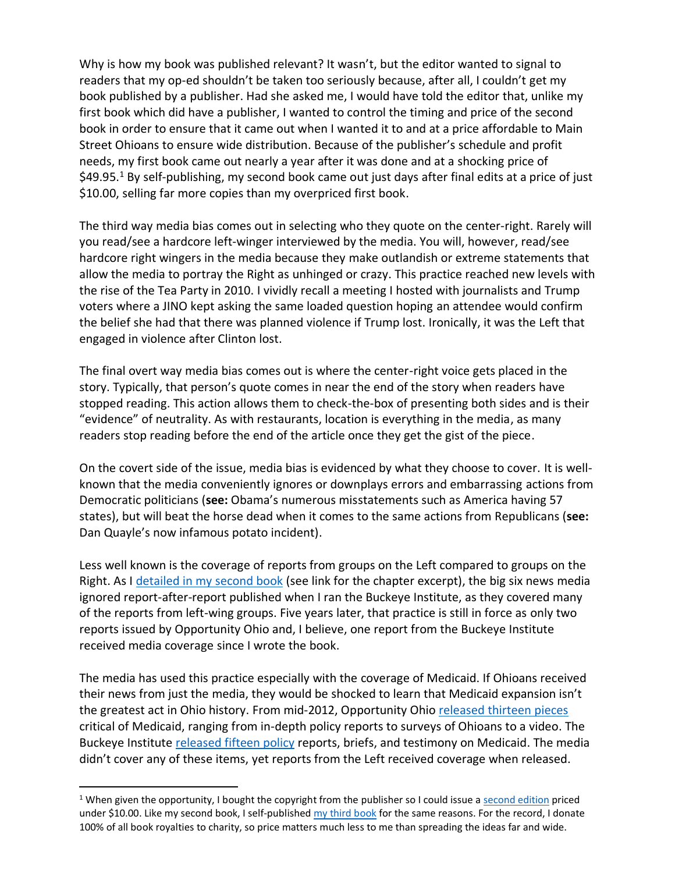Why is how my book was published relevant? It wasn't, but the editor wanted to signal to readers that my op-ed shouldn't be taken too seriously because, after all, I couldn't get my book published by a publisher. Had she asked me, I would have told the editor that, unlike my first book which did have a publisher, I wanted to control the timing and price of the second book in order to ensure that it came out when I wanted it to and at a price affordable to Main Street Ohioans to ensure wide distribution. Because of the publisher's schedule and profit needs, my first book came out nearly a year after it was done and at a shocking price of \$49.95.<sup>1</sup> By self-publishing, my second book came out just days after final edits at a price of just \$10.00, selling far more copies than my overpriced first book.

The third way media bias comes out in selecting who they quote on the center-right. Rarely will you read/see a hardcore left-winger interviewed by the media. You will, however, read/see hardcore right wingers in the media because they make outlandish or extreme statements that allow the media to portray the Right as unhinged or crazy. This practice reached new levels with the rise of the Tea Party in 2010. I vividly recall a meeting I hosted with journalists and Trump voters where a JINO kept asking the same loaded question hoping an attendee would confirm the belief she had that there was planned violence if Trump lost. Ironically, it was the Left that engaged in violence after Clinton lost.

The final overt way media bias comes out is where the center-right voice gets placed in the story. Typically, that person's quote comes in near the end of the story when readers have stopped reading. This action allows them to check-the-box of presenting both sides and is their "evidence" of neutrality. As with restaurants, location is everything in the media, as many readers stop reading before the end of the article once they get the gist of the piece.

On the covert side of the issue, media bias is evidenced by what they choose to cover. It is wellknown that the media conveniently ignores or downplays errors and embarrassing actions from Democratic politicians (**see:** Obama's numerous misstatements such as America having 57 states), but will beat the horse dead when it comes to the same actions from Republicans (**see:** Dan Quayle's now infamous potato incident).

Less well known is the coverage of reports from groups on the Left compared to groups on the Right. As I [detailed in my second book](http://www.opportunityohio.org/jinos/) (see link for the chapter excerpt), the big six news media ignored report-after-report published when I ran the Buckeye Institute, as they covered many of the reports from left-wing groups. Five years later, that practice is still in force as only two reports issued by Opportunity Ohio and, I believe, one report from the Buckeye Institute received media coverage since I wrote the book.

The media has used this practice especially with the coverage of Medicaid. If Ohioans received their news from just the media, they would be shocked to learn that Medicaid expansion isn't the greatest act in Ohio history. From mid-2012, Opportunity Ohio [released thirteen](http://www.opportunityohio.org/category/healthcare/) pieces critical of Medicaid, ranging from in-depth policy reports to surveys of Ohioans to a video. The Buckeye Institute [released fifteen policy](https://www.buckeyeinstitute.org/issues/detail/health-care) reports, briefs, and testimony on Medicaid. The media didn't cover any of these items, yet reports from the Left received coverage when released.

 $\overline{a}$ 

<sup>&</sup>lt;sup>1</sup> When given the opportunity, I bought the copyright from the publisher so I could issue [a second edition](https://www.amazon.com/Homeland-Security-Federalism-Protecting-America/dp/1533374260/ref=asap_bc?ie=UTF8) priced under \$10.00. Like my second book, I self-publishe[d my third book](https://www.amazon.com/Founding-Debate-Where-Should-Reside/dp/1493726714/ref=tmm_pap_swatch_0?_encoding=UTF8&qid=&sr=) for the same reasons. For the record, I donate 100% of all book royalties to charity, so price matters much less to me than spreading the ideas far and wide.